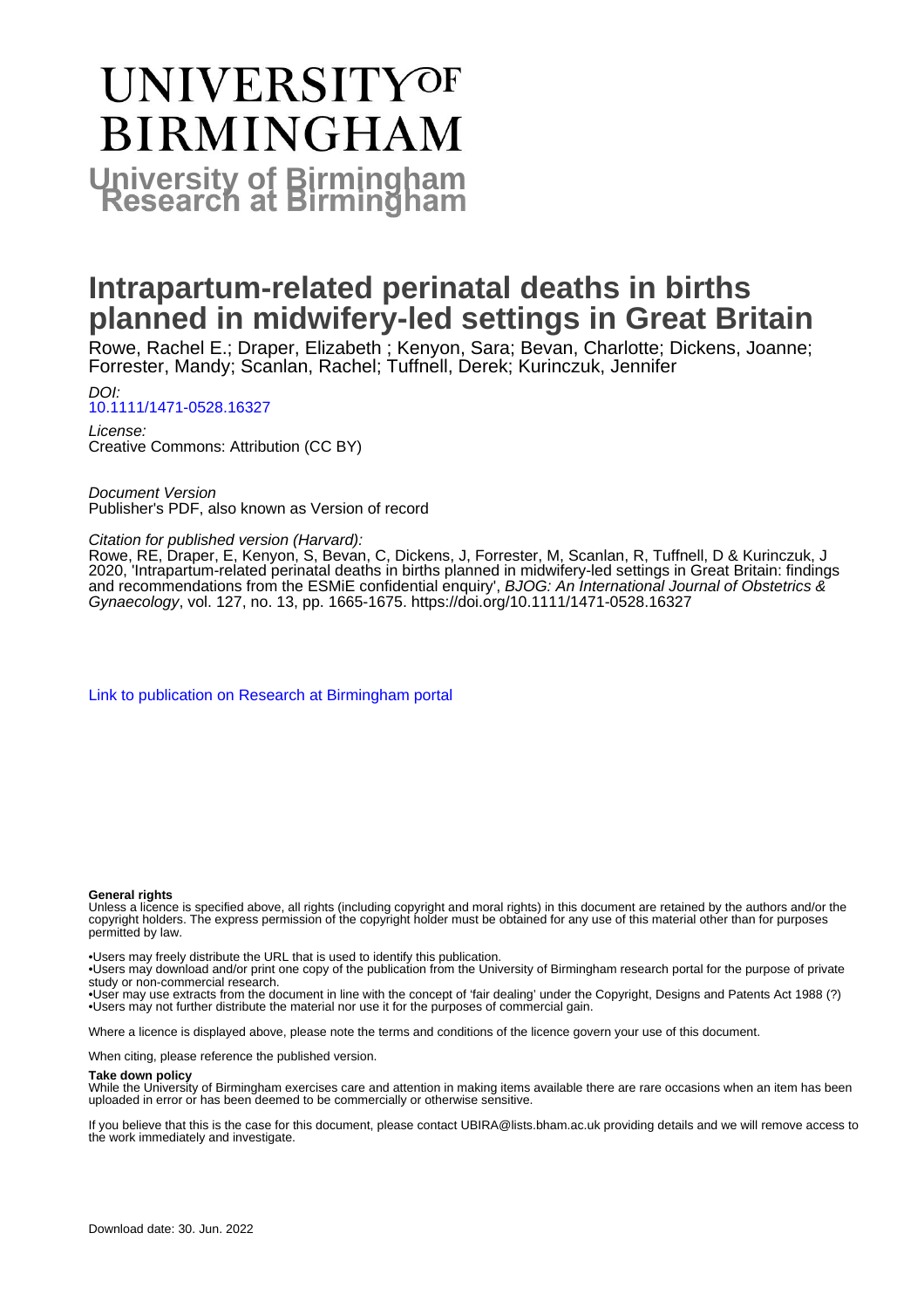# **UNIVERSITYOF BIRMINGHAM University of Birmingham**

## **Intrapartum-related perinatal deaths in births planned in midwifery-led settings in Great Britain**

Rowe, Rachel E.; Draper, Elizabeth ; Kenyon, Sara; Bevan, Charlotte; Dickens, Joanne; Forrester, Mandy; Scanlan, Rachel; Tuffnell, Derek; Kurinczuk, Jennifer

DOI: [10.1111/1471-0528.16327](https://doi.org/10.1111/1471-0528.16327)

License: Creative Commons: Attribution (CC BY)

Document Version Publisher's PDF, also known as Version of record

Citation for published version (Harvard):

Rowe, RE, Draper, E, Kenyon, S, Bevan, C, Dickens, J, Forrester, M, Scanlan, R, Tuffnell, D & Kurinczuk, J 2020, 'Intrapartum-related perinatal deaths in births planned in midwifery-led settings in Great Britain: findings and recommendations from the ESMiE confidential enquiry', BJOG: An International Journal of Obstetrics & Gynaecology, vol. 127, no. 13, pp. 1665-1675. <https://doi.org/10.1111/1471-0528.16327>

[Link to publication on Research at Birmingham portal](https://birmingham.elsevierpure.com/en/publications/c1da49ad-96e9-4709-9adc-2fbf4533f286)

#### **General rights**

Unless a licence is specified above, all rights (including copyright and moral rights) in this document are retained by the authors and/or the copyright holders. The express permission of the copyright holder must be obtained for any use of this material other than for purposes permitted by law.

• Users may freely distribute the URL that is used to identify this publication.

• Users may download and/or print one copy of the publication from the University of Birmingham research portal for the purpose of private study or non-commercial research.

• User may use extracts from the document in line with the concept of 'fair dealing' under the Copyright, Designs and Patents Act 1988 (?) • Users may not further distribute the material nor use it for the purposes of commercial gain.

Where a licence is displayed above, please note the terms and conditions of the licence govern your use of this document.

When citing, please reference the published version.

#### **Take down policy**

While the University of Birmingham exercises care and attention in making items available there are rare occasions when an item has been uploaded in error or has been deemed to be commercially or otherwise sensitive.

If you believe that this is the case for this document, please contact UBIRA@lists.bham.ac.uk providing details and we will remove access to the work immediately and investigate.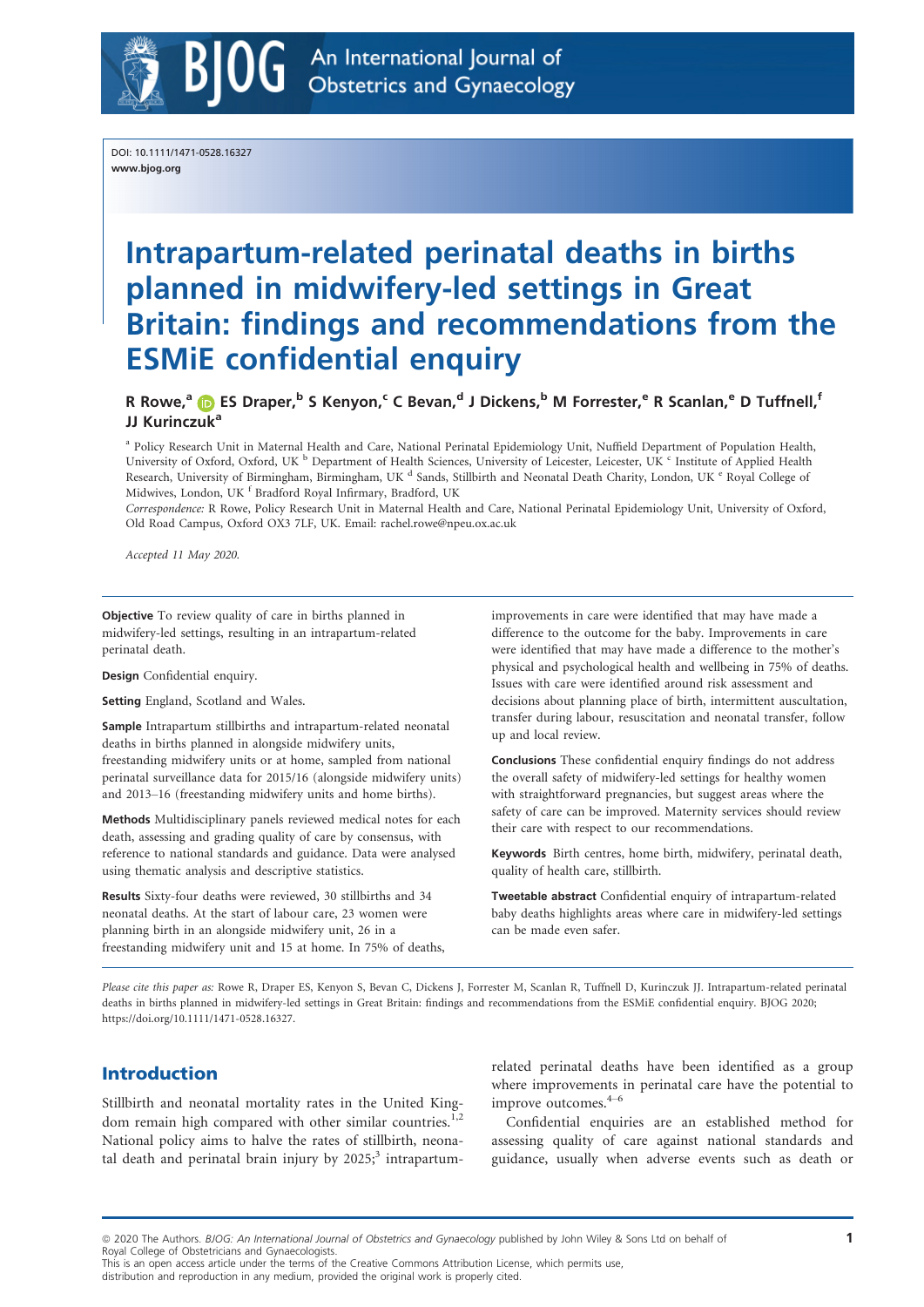

DOI: 10.1111/1471-0528.16327 www.bjog.org

## Intrapartum-related perinatal deaths in births planned in midwifery-led settings in Great Britain: findings and recommendations from the ESMiE confidential enquiry

R Rowe,<sup>[a](https://orcid.org/0000-0003-2994-3240)</sup> D ES Draper,<sup>b</sup> S Kenyon,<sup>c</sup> C Bevan,<sup>d</sup> J Dickens,<sup>b</sup> M Forrester,<sup>e</sup> R Scanlan,<sup>e</sup> D Tuffnell,<sup>f</sup> JJ Kurinczuk<sup>a</sup>

<sup>a</sup> Policy Research Unit in Maternal Health and Care, National Perinatal Epidemiology Unit, Nuffield Department of Population Health, University of Oxford, Oxford, UK <sup>b</sup> Department of Health Sciences, University of Leicester, Leicester, UK <sup>c</sup> Institute of Applied Health Research, University of Birmingham, Birmingham, UK <sup>d</sup> Sands, Stillbirth and Neonatal Death Charity, London, UK <sup>e</sup> Royal College of Midwives, London, UK <sup>f</sup> Bradford Royal Infirmary, Bradford, UK

Correspondence: R Rowe, Policy Research Unit in Maternal Health and Care, National Perinatal Epidemiology Unit, University of Oxford, Old Road Campus, Oxford OX3 7LF, UK. Email: [rachel.rowe@npeu.ox.ac.uk](mailto:)

Accepted 11 May 2020.

Objective To review quality of care in births planned in midwifery-led settings, resulting in an intrapartum-related perinatal death.

Design Confidential enquiry.

Setting England, Scotland and Wales.

Sample Intrapartum stillbirths and intrapartum-related neonatal deaths in births planned in alongside midwifery units, freestanding midwifery units or at home, sampled from national perinatal surveillance data for 2015/16 (alongside midwifery units) and 2013–16 (freestanding midwifery units and home births).

Methods Multidisciplinary panels reviewed medical notes for each death, assessing and grading quality of care by consensus, with reference to national standards and guidance. Data were analysed using thematic analysis and descriptive statistics.

Results Sixty-four deaths were reviewed, 30 stillbirths and 34 neonatal deaths. At the start of labour care, 23 women were planning birth in an alongside midwifery unit, 26 in a freestanding midwifery unit and 15 at home. In 75% of deaths,

improvements in care were identified that may have made a difference to the outcome for the baby. Improvements in care were identified that may have made a difference to the mother's physical and psychological health and wellbeing in 75% of deaths. Issues with care were identified around risk assessment and decisions about planning place of birth, intermittent auscultation, transfer during labour, resuscitation and neonatal transfer, follow up and local review.

Conclusions These confidential enquiry findings do not address the overall safety of midwifery-led settings for healthy women with straightforward pregnancies, but suggest areas where the safety of care can be improved. Maternity services should review their care with respect to our recommendations.

Keywords Birth centres, home birth, midwifery, perinatal death, quality of health care, stillbirth.

Tweetable abstract Confidential enquiry of intrapartum-related baby deaths highlights areas where care in midwifery-led settings can be made even safer.

Please cite this paper as: Rowe R, Draper ES, Kenyon S, Bevan C, Dickens J, Forrester M, Scanlan R, Tuffnell D, Kurinczuk JJ. Intrapartum-related perinatal deaths in births planned in midwifery-led settings in Great Britain: findings and recommendations from the ESMiE confidential enquiry. BJOG 2020; [https://doi.org/10.1111/1471-0528.16327.](https://doi.org/10.1111/1471-0528.16327)

## Introduction

Stillbirth and neonatal mortality rates in the United Kingdom remain high compared with other similar countries.<sup>1,2</sup> National policy aims to halve the rates of stillbirth, neonatal death and perinatal brain injury by  $2025$ ;<sup>3</sup> intrapartumrelated perinatal deaths have been identified as a group where improvements in perinatal care have the potential to improve outcomes.<sup>4-6</sup>

Confidential enquiries are an established method for assessing quality of care against national standards and guidance, usually when adverse events such as death or

This is an open access article under the terms of the Creative Commons Attribution License, which permits use,

distribution and reproduction in any medium, provided the original work is properly cited.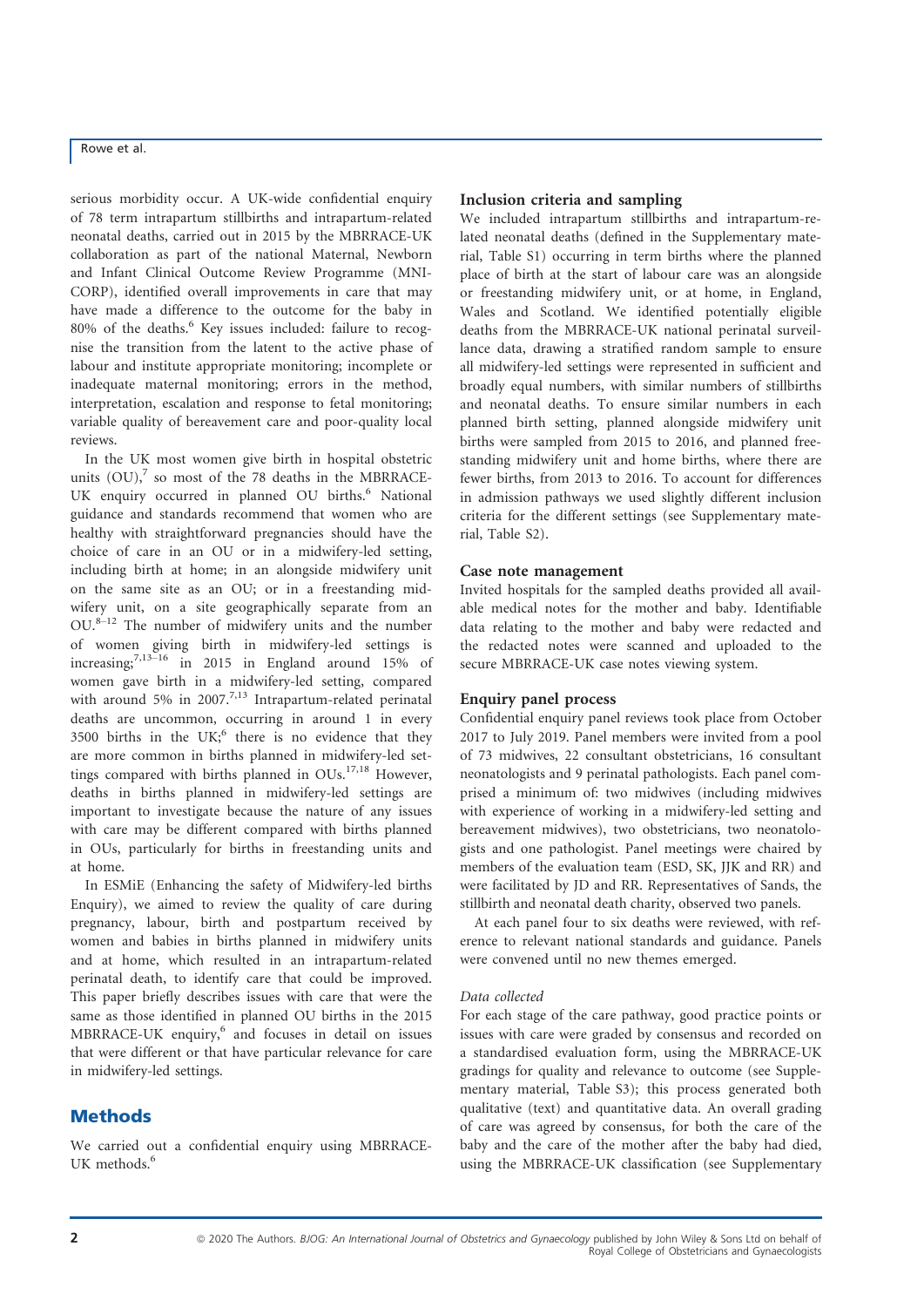serious morbidity occur. A UK-wide confidential enquiry of 78 term intrapartum stillbirths and intrapartum-related neonatal deaths, carried out in 2015 by the MBRRACE-UK collaboration as part of the national Maternal, Newborn and Infant Clinical Outcome Review Programme (MNI-CORP), identified overall improvements in care that may have made a difference to the outcome for the baby in 80% of the deaths.<sup>6</sup> Key issues included: failure to recognise the transition from the latent to the active phase of labour and institute appropriate monitoring; incomplete or inadequate maternal monitoring; errors in the method, interpretation, escalation and response to fetal monitoring; variable quality of bereavement care and poor-quality local reviews.

In the UK most women give birth in hospital obstetric units  $(OU)$ , so most of the 78 deaths in the MBRRACE-UK enquiry occurred in planned OU births.<sup>6</sup> National guidance and standards recommend that women who are healthy with straightforward pregnancies should have the choice of care in an OU or in a midwifery-led setting, including birth at home; in an alongside midwifery unit on the same site as an OU; or in a freestanding midwifery unit, on a site geographically separate from an  $OU.^{8-12}$  The number of midwifery units and the number of women giving birth in midwifery-led settings is increasing; $^{7,13-16}$  in 2015 in England around 15% of women gave birth in a midwifery-led setting, compared with around 5% in 2007.<sup>7,13</sup> Intrapartum-related perinatal deaths are uncommon, occurring in around 1 in every 3500 births in the UK; $<sup>6</sup>$  there is no evidence that they</sup> are more common in births planned in midwifery-led settings compared with births planned in OUs.<sup>17,18</sup> However, deaths in births planned in midwifery-led settings are important to investigate because the nature of any issues with care may be different compared with births planned in OUs, particularly for births in freestanding units and at home.

In ESMiE (Enhancing the safety of Midwifery-led births Enquiry), we aimed to review the quality of care during pregnancy, labour, birth and postpartum received by women and babies in births planned in midwifery units and at home, which resulted in an intrapartum-related perinatal death, to identify care that could be improved. This paper briefly describes issues with care that were the same as those identified in planned OU births in the 2015 MBRRACE-UK enquiry,<sup>6</sup> and focuses in detail on issues that were different or that have particular relevance for care in midwifery-led settings.

## **Methods**

We carried out a confidential enquiry using MBRRACE-UK methods.<sup>6</sup>

## Inclusion criteria and sampling

We included intrapartum stillbirths and intrapartum-related neonatal deaths (defined in the Supplementary material, Table S1) occurring in term births where the planned place of birth at the start of labour care was an alongside or freestanding midwifery unit, or at home, in England, Wales and Scotland. We identified potentially eligible deaths from the MBRRACE-UK national perinatal surveillance data, drawing a stratified random sample to ensure all midwifery-led settings were represented in sufficient and broadly equal numbers, with similar numbers of stillbirths and neonatal deaths. To ensure similar numbers in each planned birth setting, planned alongside midwifery unit births were sampled from 2015 to 2016, and planned freestanding midwifery unit and home births, where there are fewer births, from 2013 to 2016. To account for differences in admission pathways we used slightly different inclusion criteria for the different settings (see Supplementary material, Table S2).

## Case note management

Invited hospitals for the sampled deaths provided all available medical notes for the mother and baby. Identifiable data relating to the mother and baby were redacted and the redacted notes were scanned and uploaded to the secure MBRRACE-UK case notes viewing system.

### Enquiry panel process

Confidential enquiry panel reviews took place from October 2017 to July 2019. Panel members were invited from a pool of 73 midwives, 22 consultant obstetricians, 16 consultant neonatologists and 9 perinatal pathologists. Each panel comprised a minimum of: two midwives (including midwives with experience of working in a midwifery-led setting and bereavement midwives), two obstetricians, two neonatologists and one pathologist. Panel meetings were chaired by members of the evaluation team (ESD, SK, JJK and RR) and were facilitated by JD and RR. Representatives of Sands, the stillbirth and neonatal death charity, observed two panels.

At each panel four to six deaths were reviewed, with reference to relevant national standards and guidance. Panels were convened until no new themes emerged.

### Data collected

For each stage of the care pathway, good practice points or issues with care were graded by consensus and recorded on a standardised evaluation form, using the MBRRACE-UK gradings for quality and relevance to outcome (see Supplementary material, Table S3); this process generated both qualitative (text) and quantitative data. An overall grading of care was agreed by consensus, for both the care of the baby and the care of the mother after the baby had died, using the MBRRACE-UK classification (see Supplementary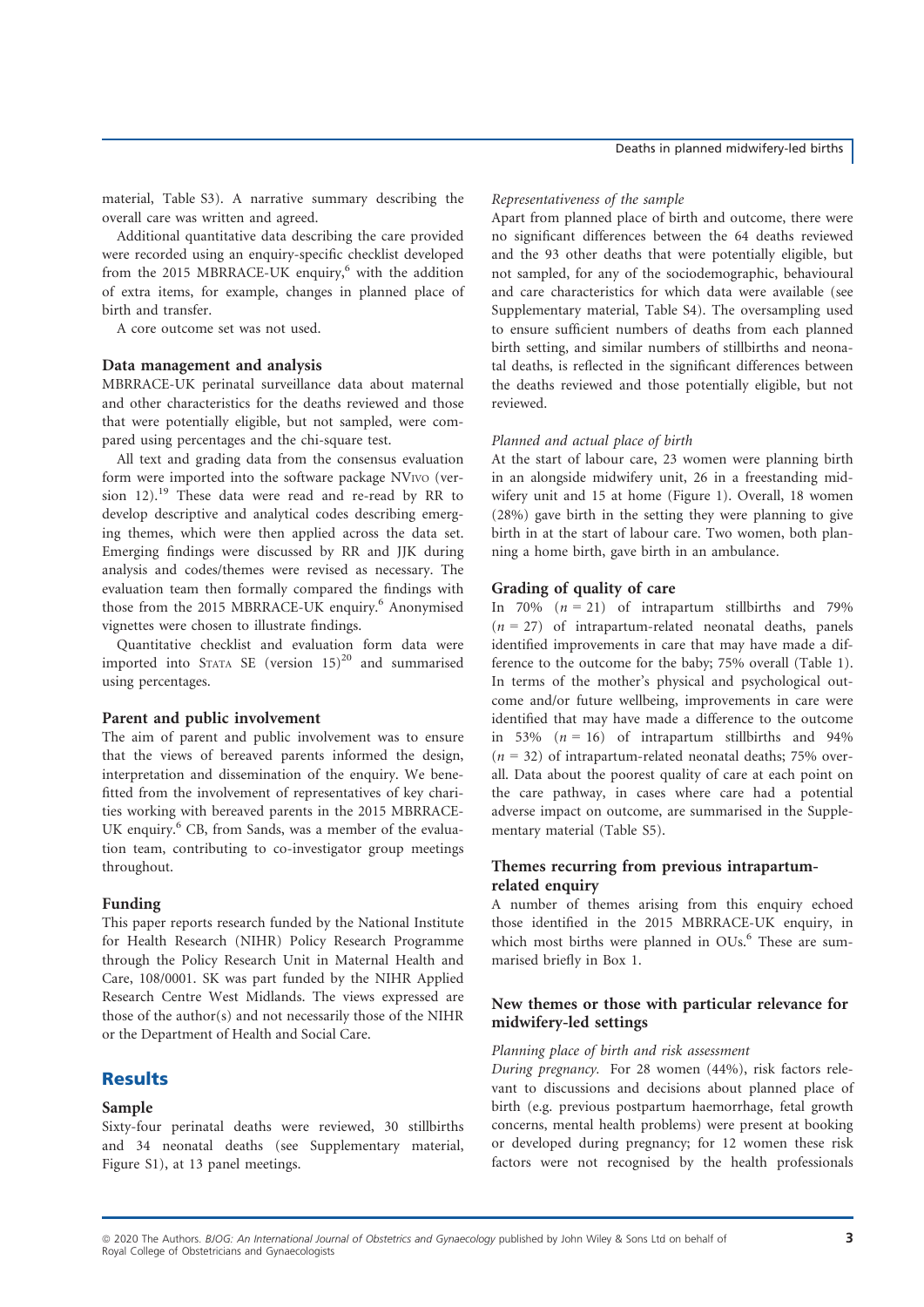material, Table S3). A narrative summary describing the overall care was written and agreed.

Additional quantitative data describing the care provided were recorded using an enquiry-specific checklist developed from the 2015 MBRRACE-UK enquiry, $6$  with the addition of extra items, for example, changes in planned place of birth and transfer.

A core outcome set was not used.

## Data management and analysis

MBRRACE-UK perinatal surveillance data about maternal and other characteristics for the deaths reviewed and those that were potentially eligible, but not sampled, were compared using percentages and the chi-square test.

All text and grading data from the consensus evaluation form were imported into the software package NVIVO (version 12).<sup>19</sup> These data were read and re-read by RR to develop descriptive and analytical codes describing emerging themes, which were then applied across the data set. Emerging findings were discussed by RR and JJK during analysis and codes/themes were revised as necessary. The evaluation team then formally compared the findings with those from the 2015 MBRRACE-UK enquiry.<sup>6</sup> Anonymised vignettes were chosen to illustrate findings.

Quantitative checklist and evaluation form data were imported into STATA SE (version  $15)^{20}$  and summarised using percentages.

#### Parent and public involvement

The aim of parent and public involvement was to ensure that the views of bereaved parents informed the design, interpretation and dissemination of the enquiry. We benefitted from the involvement of representatives of key charities working with bereaved parents in the 2015 MBRRACE-UK enquiry.<sup>6</sup> CB, from Sands, was a member of the evaluation team, contributing to co-investigator group meetings throughout.

#### Funding

This paper reports research funded by the National Institute for Health Research (NIHR) Policy Research Programme through the Policy Research Unit in Maternal Health and Care, 108/0001. SK was part funded by the NIHR Applied Research Centre West Midlands. The views expressed are those of the author(s) and not necessarily those of the NIHR or the Department of Health and Social Care.

## **Results**

#### Sample

Sixty-four perinatal deaths were reviewed, 30 stillbirths and 34 neonatal deaths (see Supplementary material, Figure S1), at 13 panel meetings.

#### Representativeness of the sample

Apart from planned place of birth and outcome, there were no significant differences between the 64 deaths reviewed and the 93 other deaths that were potentially eligible, but not sampled, for any of the sociodemographic, behavioural and care characteristics for which data were available (see Supplementary material, Table S4). The oversampling used to ensure sufficient numbers of deaths from each planned birth setting, and similar numbers of stillbirths and neonatal deaths, is reflected in the significant differences between the deaths reviewed and those potentially eligible, but not reviewed.

#### Planned and actual place of birth

At the start of labour care, 23 women were planning birth in an alongside midwifery unit, 26 in a freestanding midwifery unit and 15 at home (Figure 1). Overall, 18 women (28%) gave birth in the setting they were planning to give birth in at the start of labour care. Two women, both planning a home birth, gave birth in an ambulance.

## Grading of quality of care

In 70%  $(n = 21)$  of intrapartum stillbirths and 79%  $(n = 27)$  of intrapartum-related neonatal deaths, panels identified improvements in care that may have made a difference to the outcome for the baby; 75% overall (Table 1). In terms of the mother's physical and psychological outcome and/or future wellbeing, improvements in care were identified that may have made a difference to the outcome in 53% ( $n = 16$ ) of intrapartum stillbirths and 94%  $(n = 32)$  of intrapartum-related neonatal deaths; 75% overall. Data about the poorest quality of care at each point on the care pathway, in cases where care had a potential adverse impact on outcome, are summarised in the Supplementary material (Table S5).

## Themes recurring from previous intrapartumrelated enquiry

A number of themes arising from this enquiry echoed those identified in the 2015 MBRRACE-UK enquiry, in which most births were planned in OUs.<sup>6</sup> These are summarised briefly in Box 1.

## New themes or those with particular relevance for midwifery-led settings

## Planning place of birth and risk assessment

During pregnancy. For 28 women (44%), risk factors relevant to discussions and decisions about planned place of birth (e.g. previous postpartum haemorrhage, fetal growth concerns, mental health problems) were present at booking or developed during pregnancy; for 12 women these risk factors were not recognised by the health professionals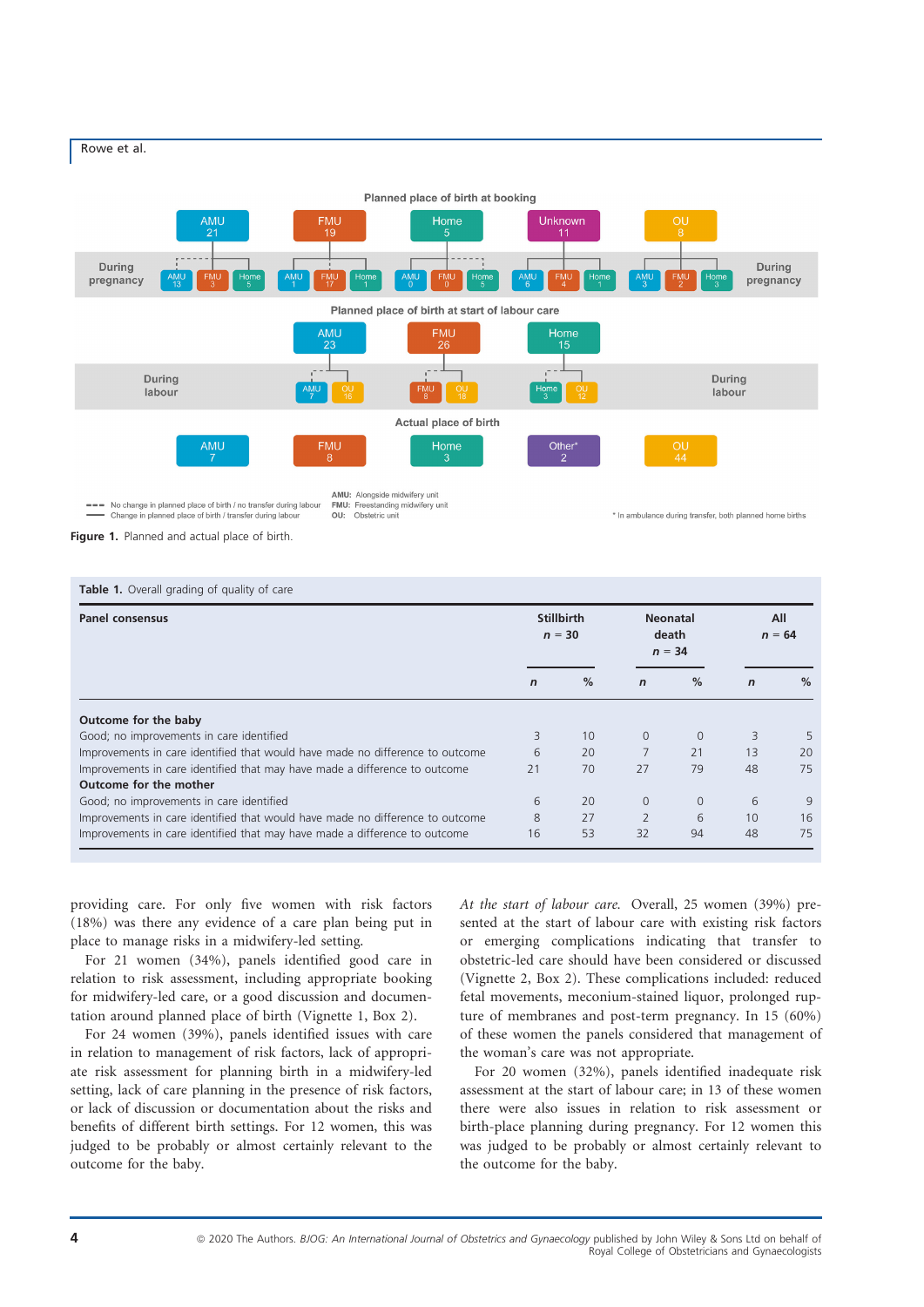

Figure 1. Planned and actual place of birth.

| <b>Panel consensus</b>                                                        | <b>Stillbirth</b><br>$n = 30$ |                 | <b>Neonatal</b><br>death<br>$n = 34$ |          | All<br>$n = 64$ |      |
|-------------------------------------------------------------------------------|-------------------------------|-----------------|--------------------------------------|----------|-----------------|------|
|                                                                               | $\mathbf n$                   | %               | $\mathbf n$                          | %        | $\mathbf n$     | $\%$ |
| Outcome for the baby                                                          |                               |                 |                                      |          |                 |      |
| Good; no improvements in care identified                                      | 3                             | 10 <sup>1</sup> | $\Omega$                             | $\Omega$ | 3               |      |
| Improvements in care identified that would have made no difference to outcome | 6                             | 20              |                                      | 21       | 13              | 20   |
| Improvements in care identified that may have made a difference to outcome    | 21                            | 70              | 27                                   | 79       | 48              | 75   |
| Outcome for the mother                                                        |                               |                 |                                      |          |                 |      |
| Good; no improvements in care identified                                      | 6                             | 20              | $\Omega$                             | $\Omega$ | 6               | 9    |
| Improvements in care identified that would have made no difference to outcome | 8                             | 27              | $\overline{2}$                       | 6        | 10              | 16   |
| Improvements in care identified that may have made a difference to outcome    | 16                            | 53              | 32                                   | 94       | 48              | 75   |

providing care. For only five women with risk factors (18%) was there any evidence of a care plan being put in place to manage risks in a midwifery-led setting.

For 21 women (34%), panels identified good care in relation to risk assessment, including appropriate booking for midwifery-led care, or a good discussion and documentation around planned place of birth (Vignette 1, Box 2).

For 24 women (39%), panels identified issues with care in relation to management of risk factors, lack of appropriate risk assessment for planning birth in a midwifery-led setting, lack of care planning in the presence of risk factors, or lack of discussion or documentation about the risks and benefits of different birth settings. For 12 women, this was judged to be probably or almost certainly relevant to the outcome for the baby.

At the start of labour care. Overall, 25 women (39%) presented at the start of labour care with existing risk factors or emerging complications indicating that transfer to obstetric-led care should have been considered or discussed (Vignette 2, Box 2). These complications included: reduced fetal movements, meconium-stained liquor, prolonged rupture of membranes and post-term pregnancy. In 15 (60%) of these women the panels considered that management of the woman's care was not appropriate.

For 20 women (32%), panels identified inadequate risk assessment at the start of labour care; in 13 of these women there were also issues in relation to risk assessment or birth-place planning during pregnancy. For 12 women this was judged to be probably or almost certainly relevant to the outcome for the baby.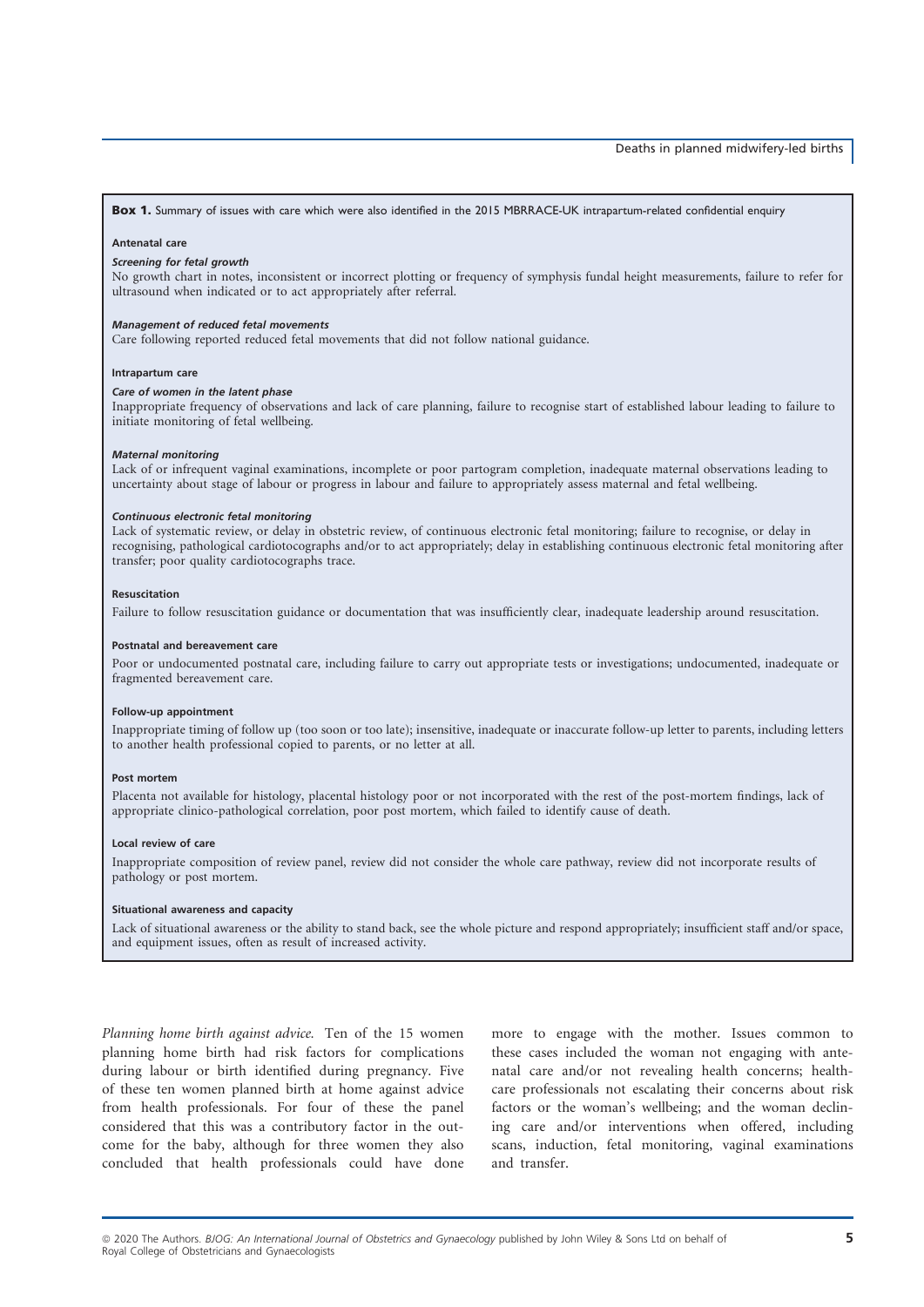Box 1. Summary of issues with care which were also identified in the 2015 MBRRACE-UK intrapartum-related confidential enquiry

#### Antenatal care

#### Screening for fetal growth

No growth chart in notes, inconsistent or incorrect plotting or frequency of symphysis fundal height measurements, failure to refer for ultrasound when indicated or to act appropriately after referral.

#### Management of reduced fetal movements

Care following reported reduced fetal movements that did not follow national guidance.

#### Intrapartum care

#### Care of women in the latent phase

Inappropriate frequency of observations and lack of care planning, failure to recognise start of established labour leading to failure to initiate monitoring of fetal wellbeing.

#### Maternal monitoring

Lack of or infrequent vaginal examinations, incomplete or poor partogram completion, inadequate maternal observations leading to uncertainty about stage of labour or progress in labour and failure to appropriately assess maternal and fetal wellbeing.

#### Continuous electronic fetal monitoring

Lack of systematic review, or delay in obstetric review, of continuous electronic fetal monitoring; failure to recognise, or delay in recognising, pathological cardiotocographs and/or to act appropriately; delay in establishing continuous electronic fetal monitoring after transfer; poor quality cardiotocographs trace.

#### Resuscitation

Failure to follow resuscitation guidance or documentation that was insufficiently clear, inadequate leadership around resuscitation.

#### Postnatal and bereavement care

Poor or undocumented postnatal care, including failure to carry out appropriate tests or investigations; undocumented, inadequate or fragmented bereavement care.

#### Follow-up appointment

Inappropriate timing of follow up (too soon or too late); insensitive, inadequate or inaccurate follow-up letter to parents, including letters to another health professional copied to parents, or no letter at all.

#### Post mortem

Placenta not available for histology, placental histology poor or not incorporated with the rest of the post-mortem findings, lack of appropriate clinico-pathological correlation, poor post mortem, which failed to identify cause of death.

#### Local review of care

Inappropriate composition of review panel, review did not consider the whole care pathway, review did not incorporate results of pathology or post mortem.

#### Situational awareness and capacity

Lack of situational awareness or the ability to stand back, see the whole picture and respond appropriately; insufficient staff and/or space, and equipment issues, often as result of increased activity.

Planning home birth against advice. Ten of the 15 women planning home birth had risk factors for complications during labour or birth identified during pregnancy. Five of these ten women planned birth at home against advice from health professionals. For four of these the panel considered that this was a contributory factor in the outcome for the baby, although for three women they also concluded that health professionals could have done more to engage with the mother. Issues common to these cases included the woman not engaging with antenatal care and/or not revealing health concerns; healthcare professionals not escalating their concerns about risk factors or the woman's wellbeing; and the woman declining care and/or interventions when offered, including scans, induction, fetal monitoring, vaginal examinations and transfer.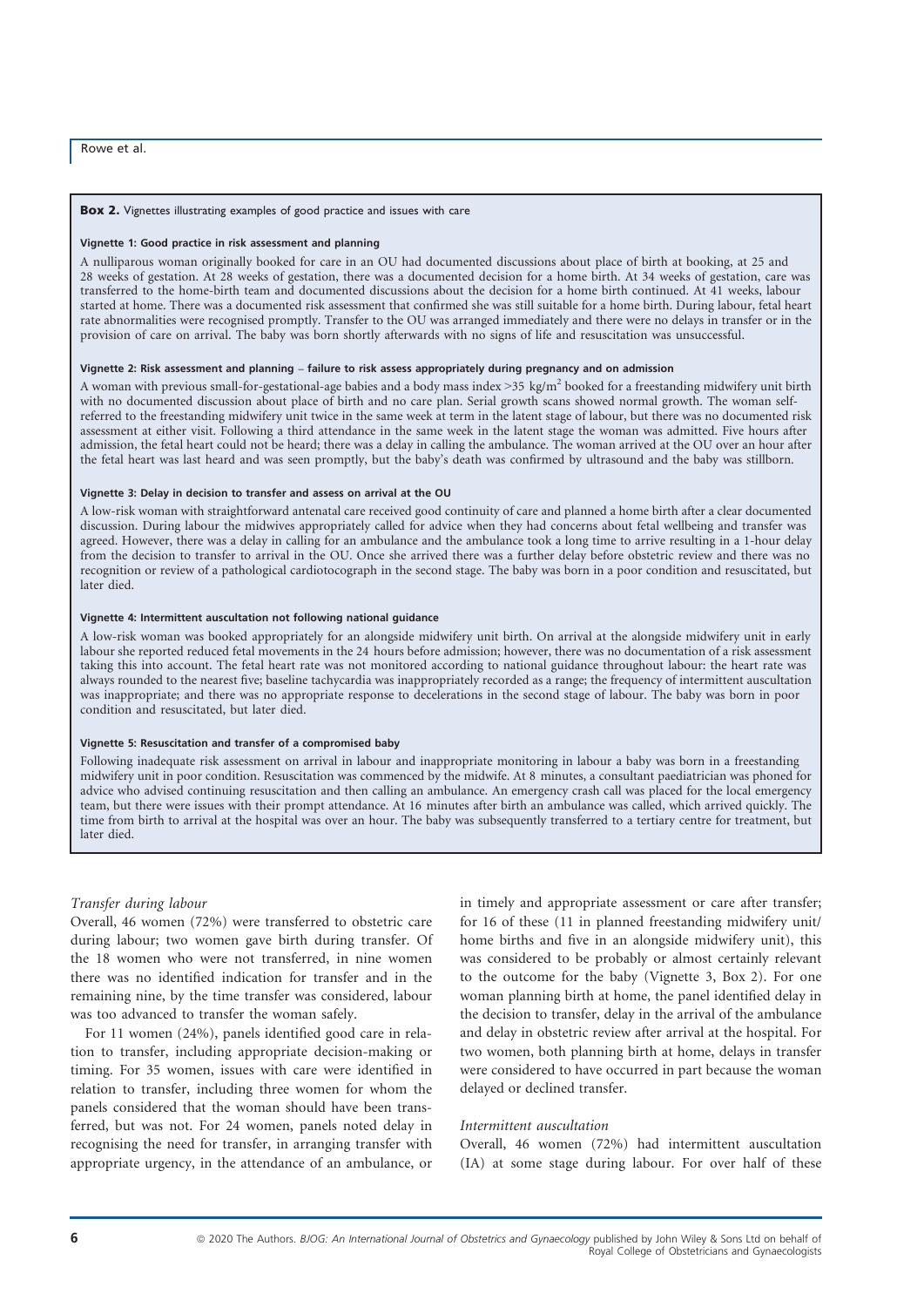#### Box 2. Vignettes illustrating examples of good practice and issues with care

#### Vignette 1: Good practice in risk assessment and planning

A nulliparous woman originally booked for care in an OU had documented discussions about place of birth at booking, at 25 and 28 weeks of gestation. At 28 weeks of gestation, there was a documented decision for a home birth. At 34 weeks of gestation, care was transferred to the home-birth team and documented discussions about the decision for a home birth continued. At 41 weeks, labour started at home. There was a documented risk assessment that confirmed she was still suitable for a home birth. During labour, fetal heart rate abnormalities were recognised promptly. Transfer to the OU was arranged immediately and there were no delays in transfer or in the provision of care on arrival. The baby was born shortly afterwards with no signs of life and resuscitation was unsuccessful.

#### Vignette 2: Risk assessment and planning – failure to risk assess appropriately during pregnancy and on admission

A woman with previous small-for-gestational-age babies and a body mass index  $>35 \text{ kg/m}^2$  booked for a freestanding midwifery unit birth with no documented discussion about place of birth and no care plan. Serial growth scans showed normal growth. The woman selfreferred to the freestanding midwifery unit twice in the same week at term in the latent stage of labour, but there was no documented risk assessment at either visit. Following a third attendance in the same week in the latent stage the woman was admitted. Five hours after admission, the fetal heart could not be heard; there was a delay in calling the ambulance. The woman arrived at the OU over an hour after the fetal heart was last heard and was seen promptly, but the baby's death was confirmed by ultrasound and the baby was stillborn.

#### Vignette 3: Delay in decision to transfer and assess on arrival at the OU

A low-risk woman with straightforward antenatal care received good continuity of care and planned a home birth after a clear documented discussion. During labour the midwives appropriately called for advice when they had concerns about fetal wellbeing and transfer was agreed. However, there was a delay in calling for an ambulance and the ambulance took a long time to arrive resulting in a 1-hour delay from the decision to transfer to arrival in the OU. Once she arrived there was a further delay before obstetric review and there was no recognition or review of a pathological cardiotocograph in the second stage. The baby was born in a poor condition and resuscitated, but later died.

#### Vignette 4: Intermittent auscultation not following national guidance

A low-risk woman was booked appropriately for an alongside midwifery unit birth. On arrival at the alongside midwifery unit in early labour she reported reduced fetal movements in the 24 hours before admission; however, there was no documentation of a risk assessment taking this into account. The fetal heart rate was not monitored according to national guidance throughout labour: the heart rate was always rounded to the nearest five; baseline tachycardia was inappropriately recorded as a range; the frequency of intermittent auscultation was inappropriate; and there was no appropriate response to decelerations in the second stage of labour. The baby was born in poor condition and resuscitated, but later died.

#### Vignette 5: Resuscitation and transfer of a compromised baby

Following inadequate risk assessment on arrival in labour and inappropriate monitoring in labour a baby was born in a freestanding midwifery unit in poor condition. Resuscitation was commenced by the midwife. At 8 minutes, a consultant paediatrician was phoned for advice who advised continuing resuscitation and then calling an ambulance. An emergency crash call was placed for the local emergency team, but there were issues with their prompt attendance. At 16 minutes after birth an ambulance was called, which arrived quickly. The time from birth to arrival at the hospital was over an hour. The baby was subsequently transferred to a tertiary centre for treatment, but later died.

#### Transfer during labour

Overall, 46 women (72%) were transferred to obstetric care during labour; two women gave birth during transfer. Of the 18 women who were not transferred, in nine women there was no identified indication for transfer and in the remaining nine, by the time transfer was considered, labour was too advanced to transfer the woman safely.

For 11 women (24%), panels identified good care in relation to transfer, including appropriate decision-making or timing. For 35 women, issues with care were identified in relation to transfer, including three women for whom the panels considered that the woman should have been transferred, but was not. For 24 women, panels noted delay in recognising the need for transfer, in arranging transfer with appropriate urgency, in the attendance of an ambulance, or

in timely and appropriate assessment or care after transfer; for 16 of these (11 in planned freestanding midwifery unit/ home births and five in an alongside midwifery unit), this was considered to be probably or almost certainly relevant to the outcome for the baby (Vignette 3, Box 2). For one woman planning birth at home, the panel identified delay in the decision to transfer, delay in the arrival of the ambulance and delay in obstetric review after arrival at the hospital. For two women, both planning birth at home, delays in transfer were considered to have occurred in part because the woman delayed or declined transfer.

#### Intermittent auscultation

Overall, 46 women (72%) had intermittent auscultation (IA) at some stage during labour. For over half of these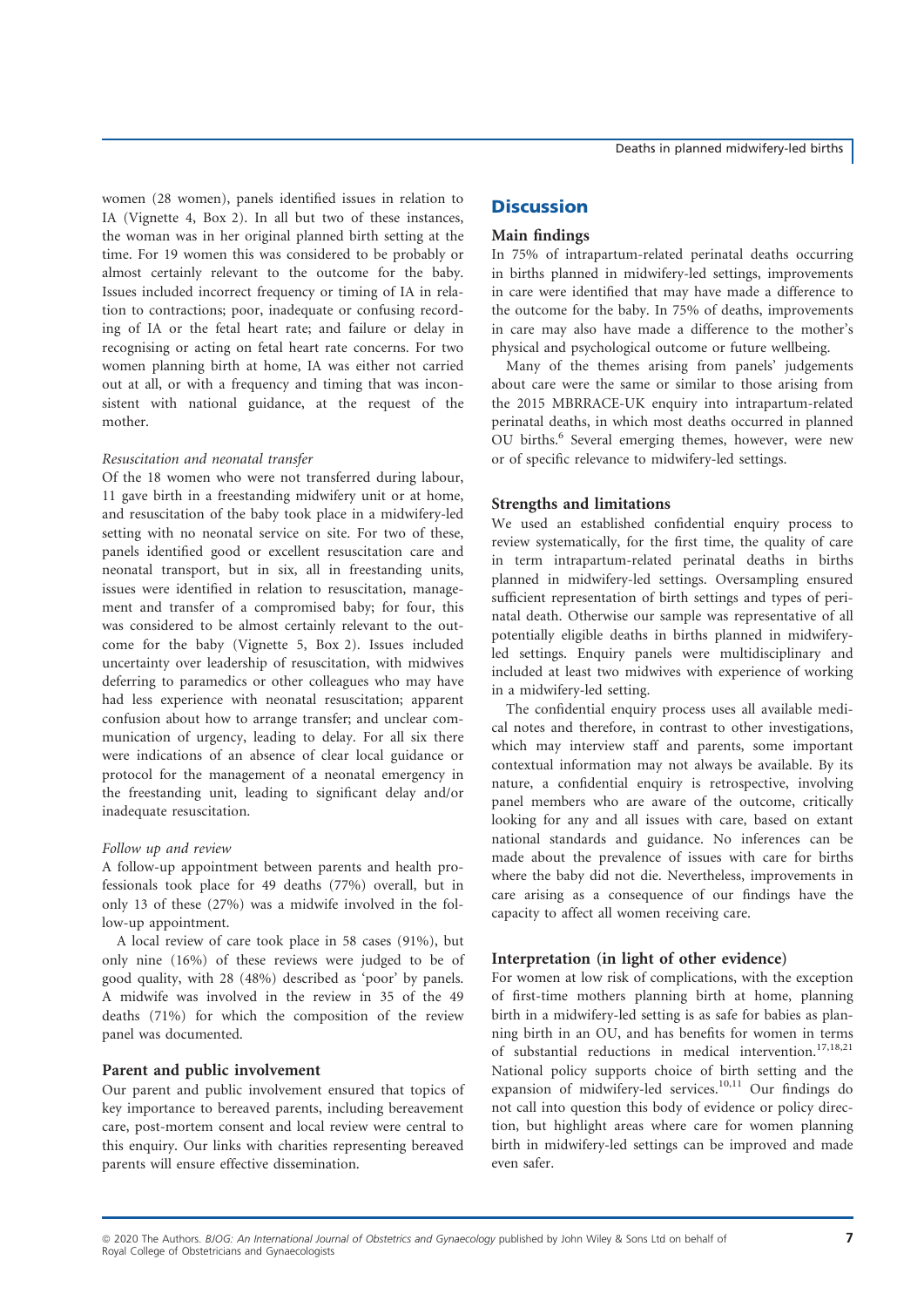women (28 women), panels identified issues in relation to IA (Vignette 4, Box 2). In all but two of these instances, the woman was in her original planned birth setting at the time. For 19 women this was considered to be probably or almost certainly relevant to the outcome for the baby. Issues included incorrect frequency or timing of IA in relation to contractions; poor, inadequate or confusing recording of IA or the fetal heart rate; and failure or delay in recognising or acting on fetal heart rate concerns. For two women planning birth at home, IA was either not carried out at all, or with a frequency and timing that was inconsistent with national guidance, at the request of the mother.

### Resuscitation and neonatal transfer

Of the 18 women who were not transferred during labour, 11 gave birth in a freestanding midwifery unit or at home, and resuscitation of the baby took place in a midwifery-led setting with no neonatal service on site. For two of these, panels identified good or excellent resuscitation care and neonatal transport, but in six, all in freestanding units, issues were identified in relation to resuscitation, management and transfer of a compromised baby; for four, this was considered to be almost certainly relevant to the outcome for the baby (Vignette 5, Box 2). Issues included uncertainty over leadership of resuscitation, with midwives deferring to paramedics or other colleagues who may have had less experience with neonatal resuscitation; apparent confusion about how to arrange transfer; and unclear communication of urgency, leading to delay. For all six there were indications of an absence of clear local guidance or protocol for the management of a neonatal emergency in the freestanding unit, leading to significant delay and/or inadequate resuscitation.

#### Follow up and review

A follow-up appointment between parents and health professionals took place for 49 deaths (77%) overall, but in only 13 of these (27%) was a midwife involved in the follow-up appointment.

A local review of care took place in 58 cases (91%), but only nine (16%) of these reviews were judged to be of good quality, with 28 (48%) described as 'poor' by panels. A midwife was involved in the review in 35 of the 49 deaths (71%) for which the composition of the review panel was documented.

## Parent and public involvement

Our parent and public involvement ensured that topics of key importance to bereaved parents, including bereavement care, post-mortem consent and local review were central to this enquiry. Our links with charities representing bereaved parents will ensure effective dissemination.

## **Discussion**

#### Main findings

In 75% of intrapartum-related perinatal deaths occurring in births planned in midwifery-led settings, improvements in care were identified that may have made a difference to the outcome for the baby. In 75% of deaths, improvements in care may also have made a difference to the mother's physical and psychological outcome or future wellbeing.

Many of the themes arising from panels' judgements about care were the same or similar to those arising from the 2015 MBRRACE-UK enquiry into intrapartum-related perinatal deaths, in which most deaths occurred in planned OU births.<sup>6</sup> Several emerging themes, however, were new or of specific relevance to midwifery-led settings.

#### Strengths and limitations

We used an established confidential enquiry process to review systematically, for the first time, the quality of care in term intrapartum-related perinatal deaths in births planned in midwifery-led settings. Oversampling ensured sufficient representation of birth settings and types of perinatal death. Otherwise our sample was representative of all potentially eligible deaths in births planned in midwiferyled settings. Enquiry panels were multidisciplinary and included at least two midwives with experience of working in a midwifery-led setting.

The confidential enquiry process uses all available medical notes and therefore, in contrast to other investigations, which may interview staff and parents, some important contextual information may not always be available. By its nature, a confidential enquiry is retrospective, involving panel members who are aware of the outcome, critically looking for any and all issues with care, based on extant national standards and guidance. No inferences can be made about the prevalence of issues with care for births where the baby did not die. Nevertheless, improvements in care arising as a consequence of our findings have the capacity to affect all women receiving care.

## Interpretation (in light of other evidence)

For women at low risk of complications, with the exception of first-time mothers planning birth at home, planning birth in a midwifery-led setting is as safe for babies as planning birth in an OU, and has benefits for women in terms of substantial reductions in medical intervention.<sup>17,18,21</sup> National policy supports choice of birth setting and the expansion of midwifery-led services.<sup>10,11</sup> Our findings do not call into question this body of evidence or policy direction, but highlight areas where care for women planning birth in midwifery-led settings can be improved and made even safer.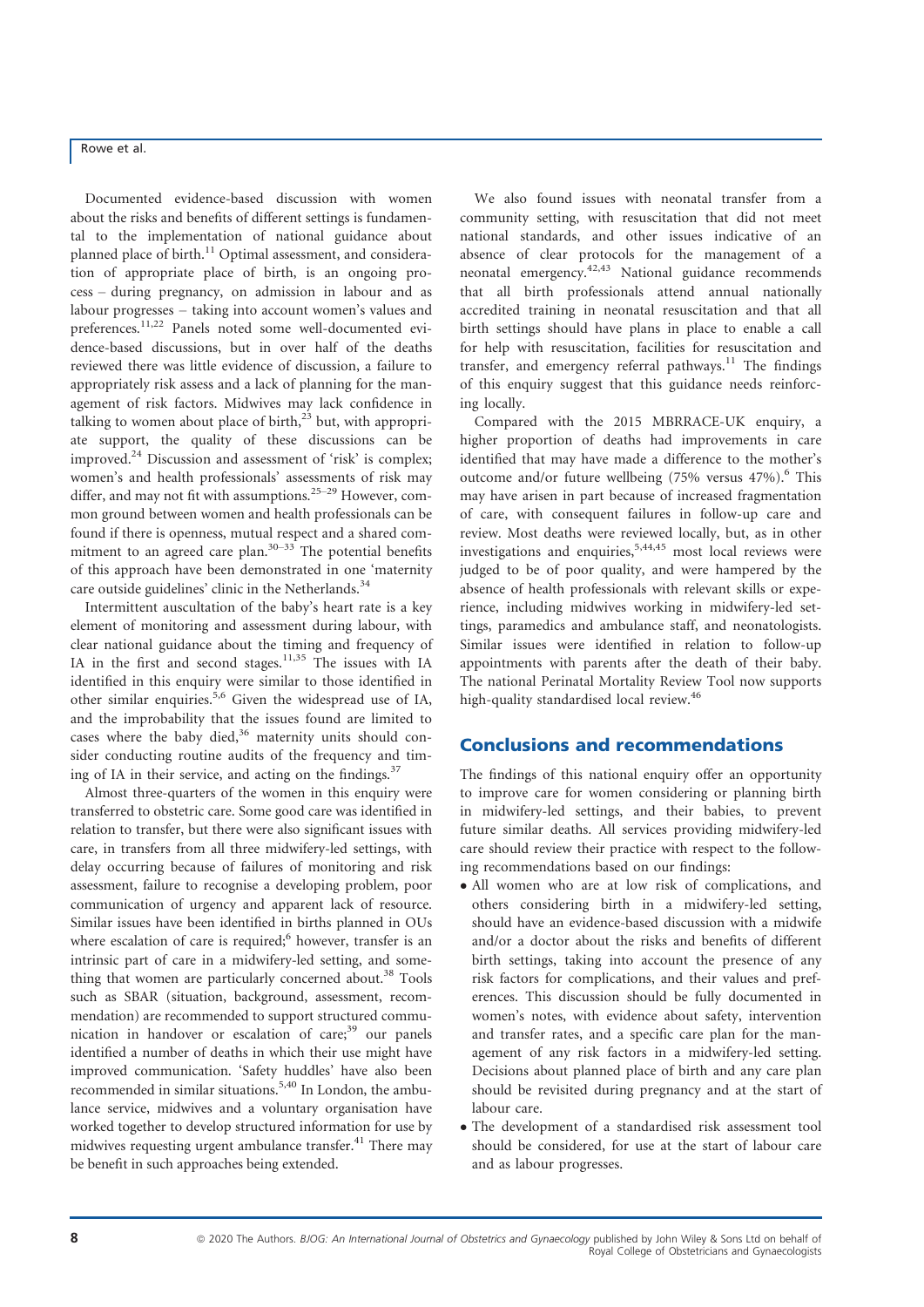Documented evidence-based discussion with women about the risks and benefits of different settings is fundamental to the implementation of national guidance about planned place of birth.<sup>11</sup> Optimal assessment, and consideration of appropriate place of birth, is an ongoing process – during pregnancy, on admission in labour and as labour progresses – taking into account women's values and preferences.<sup>11,22</sup> Panels noted some well-documented evidence-based discussions, but in over half of the deaths reviewed there was little evidence of discussion, a failure to appropriately risk assess and a lack of planning for the management of risk factors. Midwives may lack confidence in talking to women about place of birth, $2<sup>3</sup>$  but, with appropriate support, the quality of these discussions can be improved. $^{24}$  Discussion and assessment of 'risk' is complex; women's and health professionals' assessments of risk may differ, and may not fit with assumptions.<sup>25–29</sup> However, common ground between women and health professionals can be found if there is openness, mutual respect and a shared commitment to an agreed care plan. $30-33$  The potential benefits of this approach have been demonstrated in one 'maternity care outside guidelines' clinic in the Netherlands.<sup>34</sup>

Intermittent auscultation of the baby's heart rate is a key element of monitoring and assessment during labour, with clear national guidance about the timing and frequency of IA in the first and second stages.<sup>11,35</sup> The issues with IA identified in this enquiry were similar to those identified in other similar enquiries.<sup>5,6</sup> Given the widespread use of IA, and the improbability that the issues found are limited to cases where the baby died, $36$  maternity units should consider conducting routine audits of the frequency and timing of IA in their service, and acting on the findings. $37$ 

Almost three-quarters of the women in this enquiry were transferred to obstetric care. Some good care was identified in relation to transfer, but there were also significant issues with care, in transfers from all three midwifery-led settings, with delay occurring because of failures of monitoring and risk assessment, failure to recognise a developing problem, poor communication of urgency and apparent lack of resource. Similar issues have been identified in births planned in OUs where escalation of care is required; $6$  however, transfer is an intrinsic part of care in a midwifery-led setting, and something that women are particularly concerned about. $38$  Tools such as SBAR (situation, background, assessment, recommendation) are recommended to support structured communication in handover or escalation of care; $39$  our panels identified a number of deaths in which their use might have improved communication. 'Safety huddles' have also been recommended in similar situations.5,40 In London, the ambulance service, midwives and a voluntary organisation have worked together to develop structured information for use by midwives requesting urgent ambulance transfer. $41$  There may be benefit in such approaches being extended.

We also found issues with neonatal transfer from a community setting, with resuscitation that did not meet national standards, and other issues indicative of an absence of clear protocols for the management of a neonatal emergency.42,43 National guidance recommends that all birth professionals attend annual nationally accredited training in neonatal resuscitation and that all birth settings should have plans in place to enable a call for help with resuscitation, facilities for resuscitation and transfer, and emergency referral pathways.<sup>11</sup> The findings of this enquiry suggest that this guidance needs reinforcing locally.

Compared with the 2015 MBRRACE-UK enquiry, a higher proportion of deaths had improvements in care identified that may have made a difference to the mother's outcome and/or future wellbeing  $(75\% \text{ versus } 47\%)$ . This may have arisen in part because of increased fragmentation of care, with consequent failures in follow-up care and review. Most deaths were reviewed locally, but, as in other investigations and enquiries,  $5,44,45$  most local reviews were judged to be of poor quality, and were hampered by the absence of health professionals with relevant skills or experience, including midwives working in midwifery-led settings, paramedics and ambulance staff, and neonatologists. Similar issues were identified in relation to follow-up appointments with parents after the death of their baby. The national Perinatal Mortality Review Tool now supports high-quality standardised local review.<sup>46</sup>

## Conclusions and recommendations

The findings of this national enquiry offer an opportunity to improve care for women considering or planning birth in midwifery-led settings, and their babies, to prevent future similar deaths. All services providing midwifery-led care should review their practice with respect to the following recommendations based on our findings:

- All women who are at low risk of complications, and others considering birth in a midwifery-led setting, should have an evidence-based discussion with a midwife and/or a doctor about the risks and benefits of different birth settings, taking into account the presence of any risk factors for complications, and their values and preferences. This discussion should be fully documented in women's notes, with evidence about safety, intervention and transfer rates, and a specific care plan for the management of any risk factors in a midwifery-led setting. Decisions about planned place of birth and any care plan should be revisited during pregnancy and at the start of labour care.
- The development of a standardised risk assessment tool should be considered, for use at the start of labour care and as labour progresses.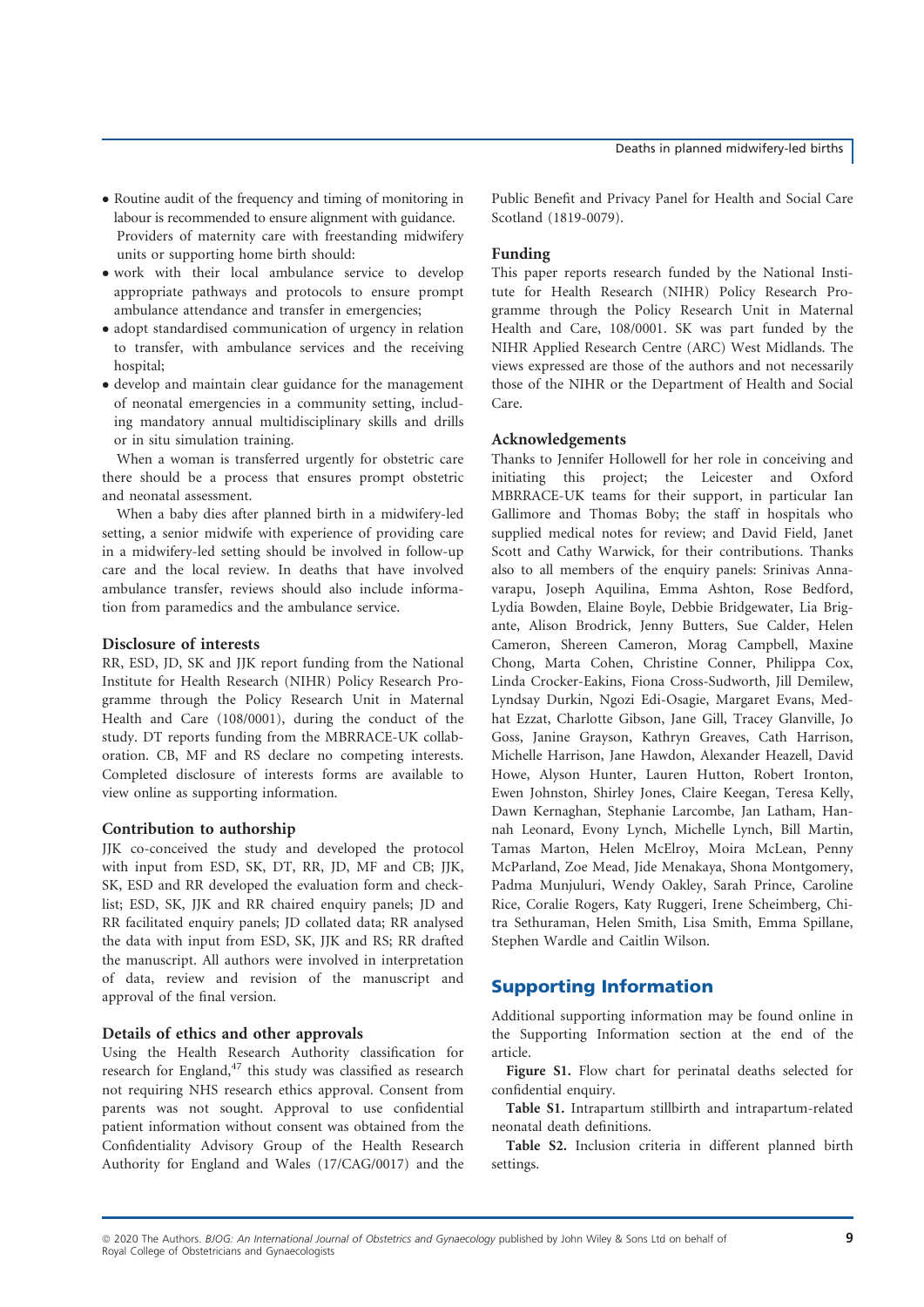- Routine audit of the frequency and timing of monitoring in labour is recommended to ensure alignment with guidance. Providers of maternity care with freestanding midwifery units or supporting home birth should:
- work with their local ambulance service to develop appropriate pathways and protocols to ensure prompt ambulance attendance and transfer in emergencies;
- adopt standardised communication of urgency in relation to transfer, with ambulance services and the receiving hospital;
- develop and maintain clear guidance for the management of neonatal emergencies in a community setting, including mandatory annual multidisciplinary skills and drills or in situ simulation training.

When a woman is transferred urgently for obstetric care there should be a process that ensures prompt obstetric and neonatal assessment.

When a baby dies after planned birth in a midwifery-led setting, a senior midwife with experience of providing care in a midwifery-led setting should be involved in follow-up care and the local review. In deaths that have involved ambulance transfer, reviews should also include information from paramedics and the ambulance service.

## Disclosure of interests

RR, ESD, JD, SK and JJK report funding from the National Institute for Health Research (NIHR) Policy Research Programme through the Policy Research Unit in Maternal Health and Care (108/0001), during the conduct of the study. DT reports funding from the MBRRACE-UK collaboration. CB, MF and RS declare no competing interests. Completed disclosure of interests forms are available to view online as supporting information.

## Contribution to authorship

JJK co-conceived the study and developed the protocol with input from ESD, SK, DT, RR, JD, MF and CB; JJK, SK, ESD and RR developed the evaluation form and checklist; ESD, SK, JJK and RR chaired enquiry panels; JD and RR facilitated enquiry panels; JD collated data; RR analysed the data with input from ESD, SK, JJK and RS; RR drafted the manuscript. All authors were involved in interpretation of data, review and revision of the manuscript and approval of the final version.

## Details of ethics and other approvals

Using the Health Research Authority classification for research for England,<sup>47</sup> this study was classified as research not requiring NHS research ethics approval. Consent from parents was not sought. Approval to use confidential patient information without consent was obtained from the Confidentiality Advisory Group of the Health Research Authority for England and Wales (17/CAG/0017) and the

Public Benefit and Privacy Panel for Health and Social Care Scotland (1819-0079).

## Funding

This paper reports research funded by the National Institute for Health Research (NIHR) Policy Research Programme through the Policy Research Unit in Maternal Health and Care, 108/0001. SK was part funded by the NIHR Applied Research Centre (ARC) West Midlands. The views expressed are those of the authors and not necessarily those of the NIHR or the Department of Health and Social Care.

## Acknowledgements

Thanks to Jennifer Hollowell for her role in conceiving and initiating this project; the Leicester and Oxford MBRRACE-UK teams for their support, in particular Ian Gallimore and Thomas Boby; the staff in hospitals who supplied medical notes for review; and David Field, Janet Scott and Cathy Warwick, for their contributions. Thanks also to all members of the enquiry panels: Srinivas Annavarapu, Joseph Aquilina, Emma Ashton, Rose Bedford, Lydia Bowden, Elaine Boyle, Debbie Bridgewater, Lia Brigante, Alison Brodrick, Jenny Butters, Sue Calder, Helen Cameron, Shereen Cameron, Morag Campbell, Maxine Chong, Marta Cohen, Christine Conner, Philippa Cox, Linda Crocker-Eakins, Fiona Cross-Sudworth, Jill Demilew, Lyndsay Durkin, Ngozi Edi-Osagie, Margaret Evans, Medhat Ezzat, Charlotte Gibson, Jane Gill, Tracey Glanville, Jo Goss, Janine Grayson, Kathryn Greaves, Cath Harrison, Michelle Harrison, Jane Hawdon, Alexander Heazell, David Howe, Alyson Hunter, Lauren Hutton, Robert Ironton, Ewen Johnston, Shirley Jones, Claire Keegan, Teresa Kelly, Dawn Kernaghan, Stephanie Larcombe, Jan Latham, Hannah Leonard, Evony Lynch, Michelle Lynch, Bill Martin, Tamas Marton, Helen McElroy, Moira McLean, Penny McParland, Zoe Mead, Jide Menakaya, Shona Montgomery, Padma Munjuluri, Wendy Oakley, Sarah Prince, Caroline Rice, Coralie Rogers, Katy Ruggeri, Irene Scheimberg, Chitra Sethuraman, Helen Smith, Lisa Smith, Emma Spillane, Stephen Wardle and Caitlin Wilson.

## Supporting Information

Additional supporting information may be found online in the Supporting Information section at the end of the article.

Figure S1. Flow chart for perinatal deaths selected for confidential enquiry.

Table S1. Intrapartum stillbirth and intrapartum-related neonatal death definitions.

Table S2. Inclusion criteria in different planned birth settings.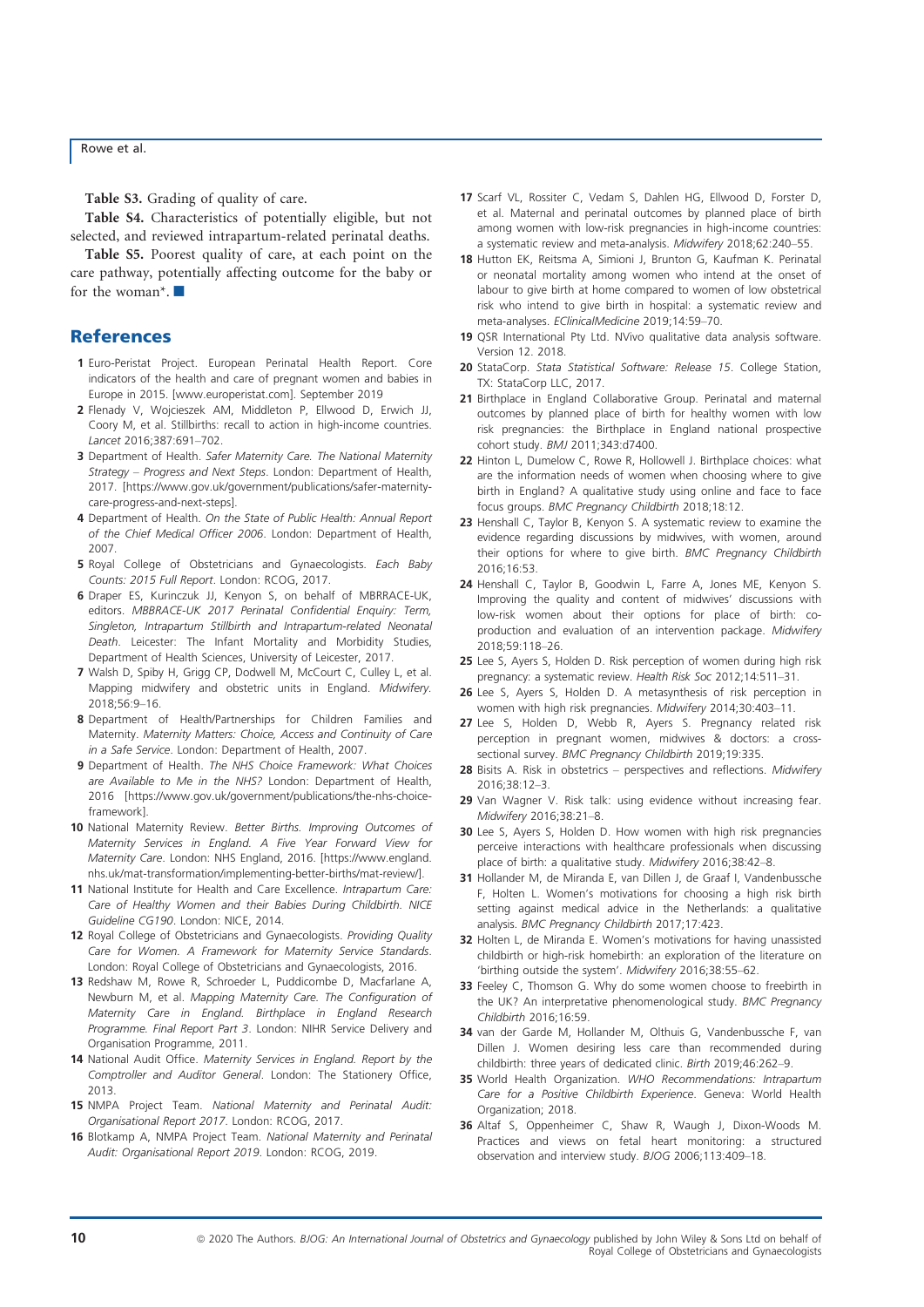Table S3. Grading of quality of care.

Table S4. Characteristics of potentially eligible, but not selected, and reviewed intrapartum-related perinatal deaths.

Table S5. Poorest quality of care, at each point on the care pathway, potentially affecting outcome for the baby or for the woman<sup>\*</sup>.

## **References**

- 1 Euro-Peristat Project. European Perinatal Health Report. Core indicators of the health and care of pregnant women and babies in Europe in 2015. [\[www.europeristat.com\]](http://www.europeristat.com). September 2019
- 2 Flenady V, Wojcieszek AM, Middleton P, Ellwood D, Erwich JJ, Coory M, et al. Stillbirths: recall to action in high-income countries. Lancet 2016;387:691–702.
- 3 Department of Health. Safer Maternity Care. The National Maternity Strategy – Progress and Next Steps. London: Department of Health, 2017. [\[https://www.gov.uk/government/publications/safer-maternity](https://www.gov.uk/government/publications/safer-maternity-care-progress-and-next-steps)[care-progress-and-next-steps\]](https://www.gov.uk/government/publications/safer-maternity-care-progress-and-next-steps).
- 4 Department of Health. On the State of Public Health: Annual Report of the Chief Medical Officer 2006. London: Department of Health, 2007.
- 5 Royal College of Obstetricians and Gynaecologists. Each Baby Counts: 2015 Full Report. London: RCOG, 2017.
- 6 Draper ES, Kurinczuk JJ, Kenyon S, on behalf of MBRRACE-UK, editors. MBBRACE-UK 2017 Perinatal Confidential Enquiry: Term, Singleton, Intrapartum Stillbirth and Intrapartum-related Neonatal Death. Leicester: The Infant Mortality and Morbidity Studies, Department of Health Sciences, University of Leicester, 2017.
- 7 Walsh D, Spiby H, Grigg CP, Dodwell M, McCourt C, Culley L, et al. Mapping midwifery and obstetric units in England. Midwifery. 2018;56:9–16.
- 8 Department of Health/Partnerships for Children Families and Maternity. Maternity Matters: Choice, Access and Continuity of Care in a Safe Service. London: Department of Health, 2007.
- 9 Department of Health. The NHS Choice Framework: What Choices are Available to Me in the NHS? London: Department of Health, 2016 [[https://www.gov.uk/government/publications/the-nhs-choice](https://www.gov.uk/government/publications/the-nhs-choice-framework)[framework\]](https://www.gov.uk/government/publications/the-nhs-choice-framework).
- 10 National Maternity Review. Better Births. Improving Outcomes of Maternity Services in England. A Five Year Forward View for Maternity Care. London: NHS England, 2016. [[https://www.england.](https://www.england.nhs.uk/mat-transformation/implementing-better-births/mat-review/) [nhs.uk/mat-transformation/implementing-better-births/mat-review/\]](https://www.england.nhs.uk/mat-transformation/implementing-better-births/mat-review/).
- 11 National Institute for Health and Care Excellence. Intrapartum Care: Care of Healthy Women and their Babies During Childbirth. NICE Guideline CG190. London: NICE, 2014.
- 12 Royal College of Obstetricians and Gynaecologists. Providing Quality Care for Women. A Framework for Maternity Service Standards. London: Royal College of Obstetricians and Gynaecologists, 2016.
- 13 Redshaw M, Rowe R, Schroeder L, Puddicombe D, Macfarlane A Newburn M, et al. Mapping Maternity Care. The Configuration of Maternity Care in England. Birthplace in England Research Programme. Final Report Part 3. London: NIHR Service Delivery and Organisation Programme, 2011.
- 14 National Audit Office. Maternity Services in England. Report by the Comptroller and Auditor General. London: The Stationery Office, 2013.
- 15 NMPA Project Team. National Maternity and Perinatal Audit: Organisational Report 2017. London: RCOG, 2017.
- 16 Blotkamp A, NMPA Project Team. National Maternity and Perinatal Audit: Organisational Report 2019. London: RCOG, 2019.
- 17 Scarf VL, Rossiter C, Vedam S, Dahlen HG, Ellwood D, Forster D, et al. Maternal and perinatal outcomes by planned place of birth among women with low-risk pregnancies in high-income countries: a systematic review and meta-analysis. Midwifery 2018;62:240–55.
- 18 Hutton EK, Reitsma A, Simioni J, Brunton G, Kaufman K. Perinatal or neonatal mortality among women who intend at the onset of labour to give birth at home compared to women of low obstetrical risk who intend to give birth in hospital: a systematic review and meta-analyses. EClinicalMedicine 2019;14:59–70.
- 19 QSR International Pty Ltd. NVivo qualitative data analysis software. Version 12. 2018.
- 20 StataCorp. Stata Statistical Software: Release 15. College Station, TX: StataCorp LLC, 2017.
- 21 Birthplace in England Collaborative Group. Perinatal and maternal outcomes by planned place of birth for healthy women with low risk pregnancies: the Birthplace in England national prospective cohort study. BMJ 2011;343:d7400.
- 22 Hinton L, Dumelow C, Rowe R, Hollowell J. Birthplace choices: what are the information needs of women when choosing where to give birth in England? A qualitative study using online and face to face focus groups. BMC Pregnancy Childbirth 2018;18:12.
- 23 Henshall C, Taylor B, Kenyon S. A systematic review to examine the evidence regarding discussions by midwives, with women, around their options for where to give birth. BMC Pregnancy Childbirth 2016;16:53.
- 24 Henshall C, Taylor B, Goodwin L, Farre A, Jones ME, Kenyon S. Improving the quality and content of midwives' discussions with low-risk women about their options for place of birth: coproduction and evaluation of an intervention package. Midwifery 2018;59:118–26.
- 25 Lee S, Ayers S, Holden D. Risk perception of women during high risk pregnancy: a systematic review. Health Risk Soc 2012;14:511–31.
- 26 Lee S, Ayers S, Holden D. A metasynthesis of risk perception in women with high risk pregnancies. Midwifery 2014;30:403–11.
- 27 Lee S, Holden D, Webb R, Ayers S. Pregnancy related risk perception in pregnant women, midwives & doctors: a crosssectional survey. BMC Pregnancy Childbirth 2019;19:335.
- 28 Bisits A. Risk in obstetrics perspectives and reflections. Midwifery 2016;38:12–3.
- 29 Van Wagner V. Risk talk: using evidence without increasing fear. Midwifery 2016;38:21–8.
- 30 Lee S, Ayers S, Holden D. How women with high risk pregnancies perceive interactions with healthcare professionals when discussing place of birth: a qualitative study. Midwifery 2016;38:42–8.
- 31 Hollander M, de Miranda E, van Dillen J, de Graaf I, Vandenbussche F, Holten L. Women's motivations for choosing a high risk birth setting against medical advice in the Netherlands: a qualitative analysis. BMC Pregnancy Childbirth 2017;17:423.
- 32 Holten L, de Miranda E. Women's motivations for having unassisted childbirth or high-risk homebirth: an exploration of the literature on 'birthing outside the system'. Midwifery 2016;38:55–62.
- 33 Feeley C, Thomson G. Why do some women choose to freebirth in the UK? An interpretative phenomenological study. BMC Pregnancy Childbirth 2016;16:59.
- 34 van der Garde M, Hollander M, Olthuis G, Vandenbussche F, van Dillen J. Women desiring less care than recommended during childbirth: three years of dedicated clinic. Birth 2019;46:262–9.
- 35 World Health Organization. WHO Recommendations: Intrapartum Care for a Positive Childbirth Experience. Geneva: World Health Organization; 2018.
- 36 Altaf S, Oppenheimer C, Shaw R, Waugh J, Dixon-Woods M. Practices and views on fetal heart monitoring: a structured observation and interview study. BJOG 2006;113:409–18.